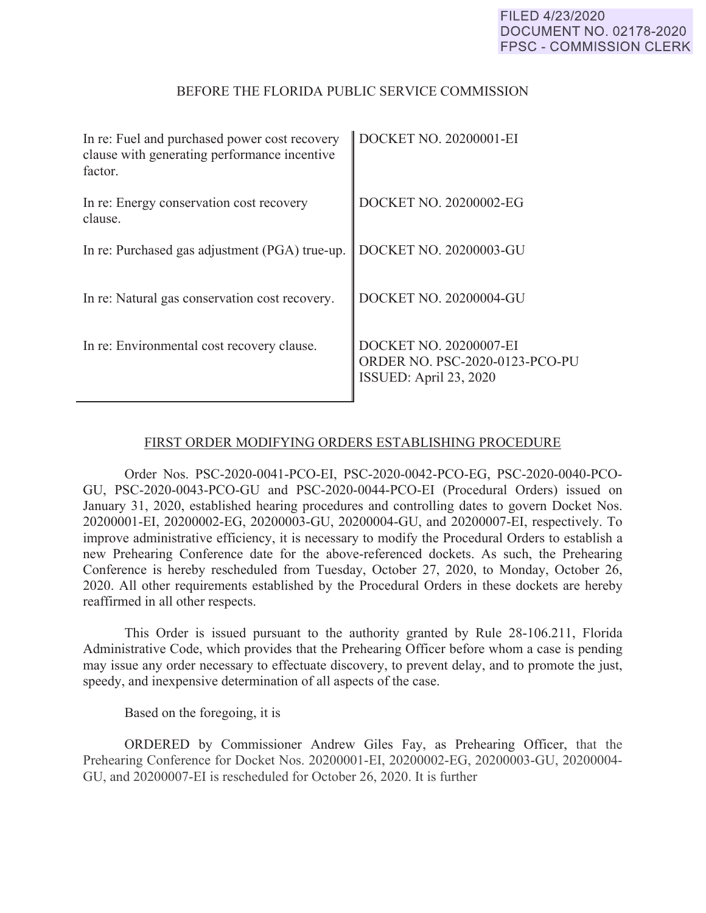## BEFORE THE FLORIDA PUBLIC SERVICE COMMISSION

| In re: Fuel and purchased power cost recovery<br>clause with generating performance incentive<br>factor. | DOCKET NO. 20200001-EI                                                             |
|----------------------------------------------------------------------------------------------------------|------------------------------------------------------------------------------------|
| In re: Energy conservation cost recovery<br>clause.                                                      | DOCKET NO. 20200002-EG                                                             |
| In re: Purchased gas adjustment (PGA) true-up.                                                           | <b>DOCKET NO. 20200003-GU</b>                                                      |
| In re: Natural gas conservation cost recovery.                                                           | DOCKET NO. 20200004-GU                                                             |
| In re: Environmental cost recovery clause.                                                               | DOCKET NO. 20200007-EI<br>ORDER NO. PSC-2020-0123-PCO-PU<br>ISSUED: April 23, 2020 |

## FIRST ORDER MODIFYING ORDERS ESTABLISHING PROCEDURE

Order Nos. PSC-2020-0041-PCO-EI, PSC-2020-0042-PCO-EG, PSC-2020-0040-PCO-GU, PSC-2020-0043-PCO-GU and PSC-2020-0044-PCO-EI (Procedural Orders) issued on January 31, 2020, established hearing procedures and controlling dates to govern Docket Nos. 20200001-EI, 20200002-EG, 20200003-GU, 20200004-GU, and 20200007-EI, respectively. To improve administrative efficiency, it is necessary to modify the Procedural Orders to establish a new Prehearing Conference date for the above-referenced dockets. As such, the Prehearing Conference is hereby rescheduled from Tuesday, October 27, 2020, to Monday, October 26, 2020. All other requirements established by the Procedural Orders in these dockets are hereby reaffirmed in all other respects.

This Order is issued pursuant to the authority granted by Rule 28-106.211, Florida Administrative Code, which provides that the Prehearing Officer before whom a case is pending may issue any order necessary to effectuate discovery, to prevent delay, and to promote the just, speedy, and inexpensive determination of all aspects of the case.

Based on the foregoing, it is

ORDERED by Commissioner Andrew Giles Fay, as Prehearing Officer, that the Prehearing Conference for Docket Nos. 20200001-EI, 20200002-EG, 20200003-GU, 20200004- GU, and 20200007-EI is rescheduled for October 26, 2020. It is further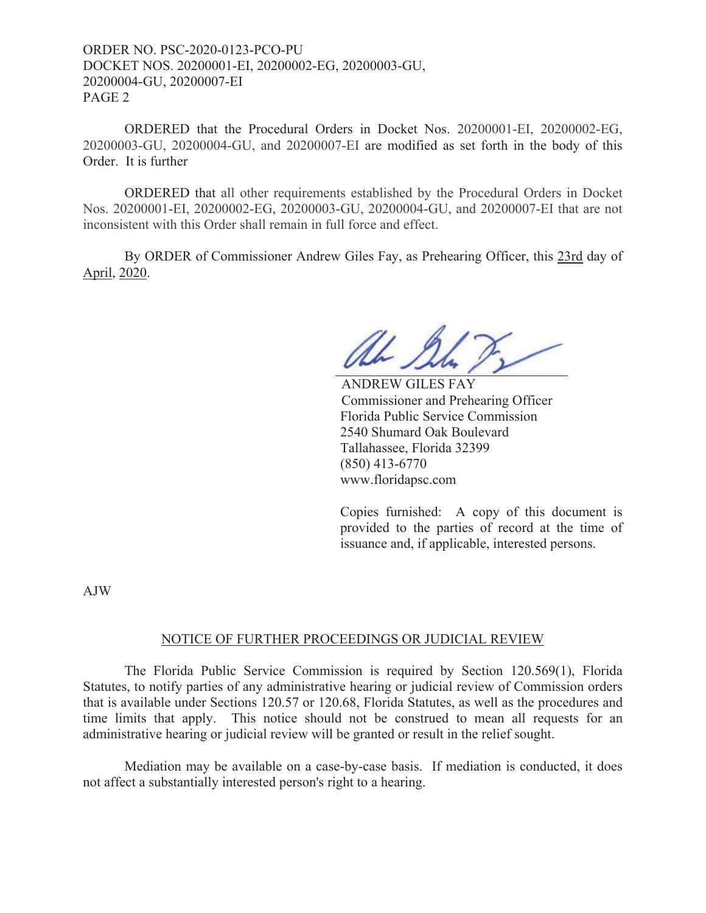ORDER NO. PSC-2020-0123-PCO-PU DOCKET NOS. 20200001-EI, 20200002-EG, 20200003-GU, 20200004-GU, 20200007-EI PAGE 2

ORDERED that the Procedural Orders in Docket Nos. 20200001-EI, 20200002-EG, 20200003-GU, 20200004-GU, and 20200007-EI are modified as set forth in the body of this Order. It is further

 ORDERED that all other requirements established by the Procedural Orders in Docket Nos. 20200001-EI, 20200002-EG, 20200003-GU, 20200004-GU, and 20200007-EI that are not inconsistent with this Order shall remain in full force and effect.

By ORDER of Commissioner Andrew Giles Fay, as Prehearing Officer, this 23rd day of April, 2020.

Nh I

 ANDREW GILES FAY Commissioner and Prehearing Officer Florida Public Service Commission 2540 Shumard Oak Boulevard Tallahassee, Florida 32399 (850) 413-6770 www.floridapsc.com

Copies furnished: A copy of this document is provided to the parties of record at the time of issuance and, if applicable, interested persons.

AJW

## NOTICE OF FURTHER PROCEEDINGS OR JUDICIAL REVIEW

The Florida Public Service Commission is required by Section 120.569(1), Florida Statutes, to notify parties of any administrative hearing or judicial review of Commission orders that is available under Sections 120.57 or 120.68, Florida Statutes, as well as the procedures and time limits that apply. This notice should not be construed to mean all requests for an administrative hearing or judicial review will be granted or result in the relief sought.

Mediation may be available on a case-by-case basis. If mediation is conducted, it does not affect a substantially interested person's right to a hearing.